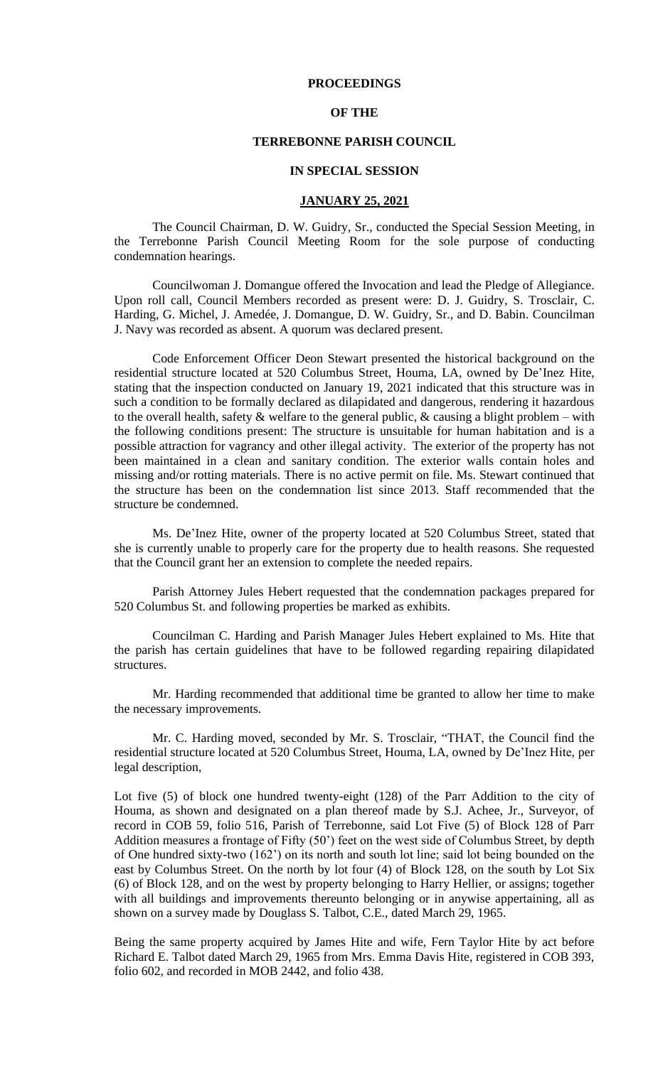### **PROCEEDINGS**

### **OF THE**

## **TERREBONNE PARISH COUNCIL**

#### **IN SPECIAL SESSION**

# **JANUARY 25, 2021**

The Council Chairman, D. W. Guidry, Sr., conducted the Special Session Meeting, in the Terrebonne Parish Council Meeting Room for the sole purpose of conducting condemnation hearings.

Councilwoman J. Domangue offered the Invocation and lead the Pledge of Allegiance. Upon roll call, Council Members recorded as present were: D. J. Guidry, S. Trosclair, C. Harding, G. Michel, J. Amedée, J. Domangue, D. W. Guidry, Sr., and D. Babin. Councilman J. Navy was recorded as absent. A quorum was declared present.

Code Enforcement Officer Deon Stewart presented the historical background on the residential structure located at 520 Columbus Street, Houma, LA, owned by De'Inez Hite, stating that the inspection conducted on January 19, 2021 indicated that this structure was in such a condition to be formally declared as dilapidated and dangerous, rendering it hazardous to the overall health, safety  $\&$  welfare to the general public,  $\&$  causing a blight problem – with the following conditions present: The structure is unsuitable for human habitation and is a possible attraction for vagrancy and other illegal activity. The exterior of the property has not been maintained in a clean and sanitary condition. The exterior walls contain holes and missing and/or rotting materials. There is no active permit on file. Ms. Stewart continued that the structure has been on the condemnation list since 2013. Staff recommended that the structure be condemned.

Ms. De'Inez Hite, owner of the property located at 520 Columbus Street, stated that she is currently unable to properly care for the property due to health reasons. She requested that the Council grant her an extension to complete the needed repairs.

Parish Attorney Jules Hebert requested that the condemnation packages prepared for 520 Columbus St. and following properties be marked as exhibits.

Councilman C. Harding and Parish Manager Jules Hebert explained to Ms. Hite that the parish has certain guidelines that have to be followed regarding repairing dilapidated structures.

Mr. Harding recommended that additional time be granted to allow her time to make the necessary improvements.

Mr. C. Harding moved, seconded by Mr. S. Trosclair, "THAT, the Council find the residential structure located at 520 Columbus Street, Houma, LA, owned by De'Inez Hite, per legal description,

Lot five (5) of block one hundred twenty-eight (128) of the Parr Addition to the city of Houma, as shown and designated on a plan thereof made by S.J. Achee, Jr., Surveyor, of record in COB 59, folio 516, Parish of Terrebonne, said Lot Five (5) of Block 128 of Parr Addition measures a frontage of Fifty (50') feet on the west side of Columbus Street, by depth of One hundred sixty-two (162') on its north and south lot line; said lot being bounded on the east by Columbus Street. On the north by lot four (4) of Block 128, on the south by Lot Six (6) of Block 128, and on the west by property belonging to Harry Hellier, or assigns; together with all buildings and improvements thereunto belonging or in anywise appertaining, all as shown on a survey made by Douglass S. Talbot, C.E., dated March 29, 1965.

Being the same property acquired by James Hite and wife, Fern Taylor Hite by act before Richard E. Talbot dated March 29, 1965 from Mrs. Emma Davis Hite, registered in COB 393, folio 602, and recorded in MOB 2442, and folio 438.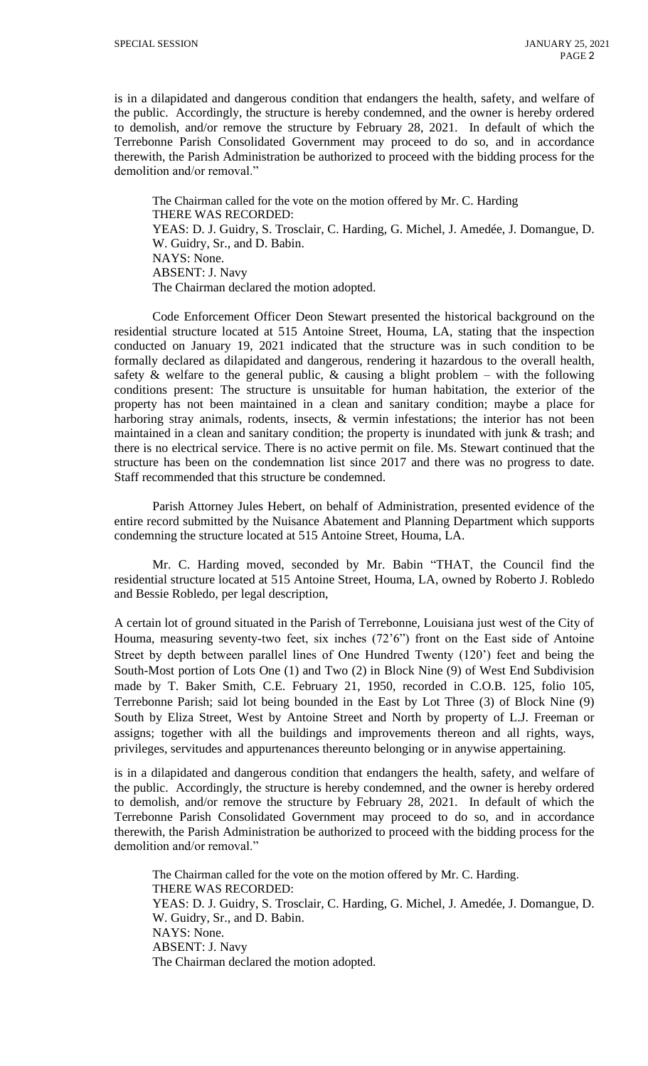is in a dilapidated and dangerous condition that endangers the health, safety, and welfare of the public. Accordingly, the structure is hereby condemned, and the owner is hereby ordered to demolish, and/or remove the structure by February 28, 2021. In default of which the Terrebonne Parish Consolidated Government may proceed to do so, and in accordance therewith, the Parish Administration be authorized to proceed with the bidding process for the demolition and/or removal."

The Chairman called for the vote on the motion offered by Mr. C. Harding THERE WAS RECORDED: YEAS: D. J. Guidry, S. Trosclair, C. Harding, G. Michel, J. Amedée, J. Domangue, D. W. Guidry, Sr., and D. Babin. NAYS: None. ABSENT: J. Navy The Chairman declared the motion adopted.

Code Enforcement Officer Deon Stewart presented the historical background on the residential structure located at 515 Antoine Street, Houma, LA, stating that the inspection conducted on January 19, 2021 indicated that the structure was in such condition to be formally declared as dilapidated and dangerous, rendering it hazardous to the overall health, safety  $\&$  welfare to the general public,  $\&$  causing a blight problem – with the following conditions present: The structure is unsuitable for human habitation, the exterior of the property has not been maintained in a clean and sanitary condition; maybe a place for harboring stray animals, rodents, insects,  $\&$  vermin infestations; the interior has not been maintained in a clean and sanitary condition; the property is inundated with junk & trash; and there is no electrical service. There is no active permit on file. Ms. Stewart continued that the structure has been on the condemnation list since 2017 and there was no progress to date. Staff recommended that this structure be condemned.

Parish Attorney Jules Hebert, on behalf of Administration, presented evidence of the entire record submitted by the Nuisance Abatement and Planning Department which supports condemning the structure located at 515 Antoine Street, Houma, LA.

Mr. C. Harding moved, seconded by Mr. Babin "THAT, the Council find the residential structure located at 515 Antoine Street, Houma, LA, owned by Roberto J. Robledo and Bessie Robledo, per legal description,

A certain lot of ground situated in the Parish of Terrebonne, Louisiana just west of the City of Houma, measuring seventy-two feet, six inches (72'6") front on the East side of Antoine Street by depth between parallel lines of One Hundred Twenty (120') feet and being the South-Most portion of Lots One (1) and Two (2) in Block Nine (9) of West End Subdivision made by T. Baker Smith, C.E. February 21, 1950, recorded in C.O.B. 125, folio 105, Terrebonne Parish; said lot being bounded in the East by Lot Three (3) of Block Nine (9) South by Eliza Street, West by Antoine Street and North by property of L.J. Freeman or assigns; together with all the buildings and improvements thereon and all rights, ways, privileges, servitudes and appurtenances thereunto belonging or in anywise appertaining.

is in a dilapidated and dangerous condition that endangers the health, safety, and welfare of the public. Accordingly, the structure is hereby condemned, and the owner is hereby ordered to demolish, and/or remove the structure by February 28, 2021. In default of which the Terrebonne Parish Consolidated Government may proceed to do so, and in accordance therewith, the Parish Administration be authorized to proceed with the bidding process for the demolition and/or removal."

The Chairman called for the vote on the motion offered by Mr. C. Harding. THERE WAS RECORDED: YEAS: D. J. Guidry, S. Trosclair, C. Harding, G. Michel, J. Amedée, J. Domangue, D. W. Guidry, Sr., and D. Babin. NAYS: None. ABSENT: J. Navy The Chairman declared the motion adopted.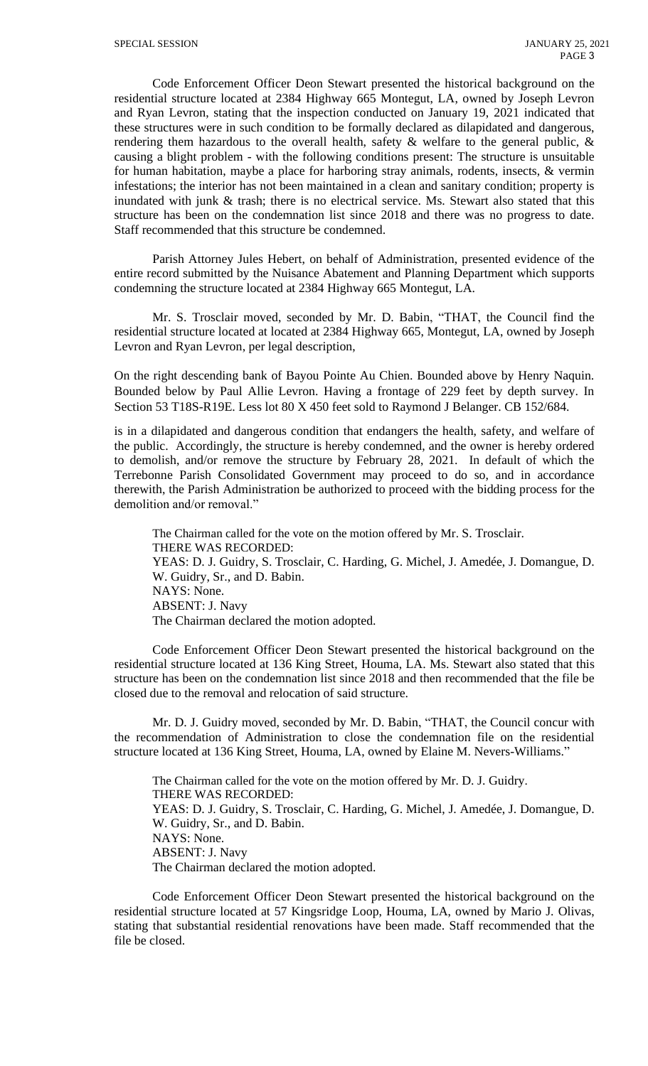Code Enforcement Officer Deon Stewart presented the historical background on the residential structure located at 2384 Highway 665 Montegut, LA, owned by Joseph Levron and Ryan Levron, stating that the inspection conducted on January 19, 2021 indicated that these structures were in such condition to be formally declared as dilapidated and dangerous, rendering them hazardous to the overall health, safety  $\&$  welfare to the general public,  $\&$ causing a blight problem - with the following conditions present: The structure is unsuitable for human habitation, maybe a place for harboring stray animals, rodents, insects, & vermin infestations; the interior has not been maintained in a clean and sanitary condition; property is inundated with junk & trash; there is no electrical service. Ms. Stewart also stated that this structure has been on the condemnation list since 2018 and there was no progress to date. Staff recommended that this structure be condemned.

Parish Attorney Jules Hebert, on behalf of Administration, presented evidence of the entire record submitted by the Nuisance Abatement and Planning Department which supports condemning the structure located at 2384 Highway 665 Montegut, LA.

Mr. S. Trosclair moved, seconded by Mr. D. Babin, "THAT, the Council find the residential structure located at located at 2384 Highway 665, Montegut, LA, owned by Joseph Levron and Ryan Levron, per legal description,

On the right descending bank of Bayou Pointe Au Chien. Bounded above by Henry Naquin. Bounded below by Paul Allie Levron. Having a frontage of 229 feet by depth survey. In Section 53 T18S-R19E. Less lot 80 X 450 feet sold to Raymond J Belanger. CB 152/684.

is in a dilapidated and dangerous condition that endangers the health, safety, and welfare of the public. Accordingly, the structure is hereby condemned, and the owner is hereby ordered to demolish, and/or remove the structure by February 28, 2021. In default of which the Terrebonne Parish Consolidated Government may proceed to do so, and in accordance therewith, the Parish Administration be authorized to proceed with the bidding process for the demolition and/or removal."

The Chairman called for the vote on the motion offered by Mr. S. Trosclair. THERE WAS RECORDED: YEAS: D. J. Guidry, S. Trosclair, C. Harding, G. Michel, J. Amedée, J. Domangue, D. W. Guidry, Sr., and D. Babin. NAYS: None. ABSENT: J. Navy The Chairman declared the motion adopted.

Code Enforcement Officer Deon Stewart presented the historical background on the residential structure located at 136 King Street, Houma, LA. Ms. Stewart also stated that this structure has been on the condemnation list since 2018 and then recommended that the file be closed due to the removal and relocation of said structure.

Mr. D. J. Guidry moved, seconded by Mr. D. Babin, "THAT, the Council concur with the recommendation of Administration to close the condemnation file on the residential structure located at 136 King Street, Houma, LA, owned by Elaine M. Nevers-Williams."

The Chairman called for the vote on the motion offered by Mr. D. J. Guidry. THERE WAS RECORDED: YEAS: D. J. Guidry, S. Trosclair, C. Harding, G. Michel, J. Amedée, J. Domangue, D. W. Guidry, Sr., and D. Babin. NAYS: None. ABSENT: J. Navy The Chairman declared the motion adopted.

Code Enforcement Officer Deon Stewart presented the historical background on the residential structure located at 57 Kingsridge Loop, Houma, LA, owned by Mario J. Olivas, stating that substantial residential renovations have been made. Staff recommended that the file be closed.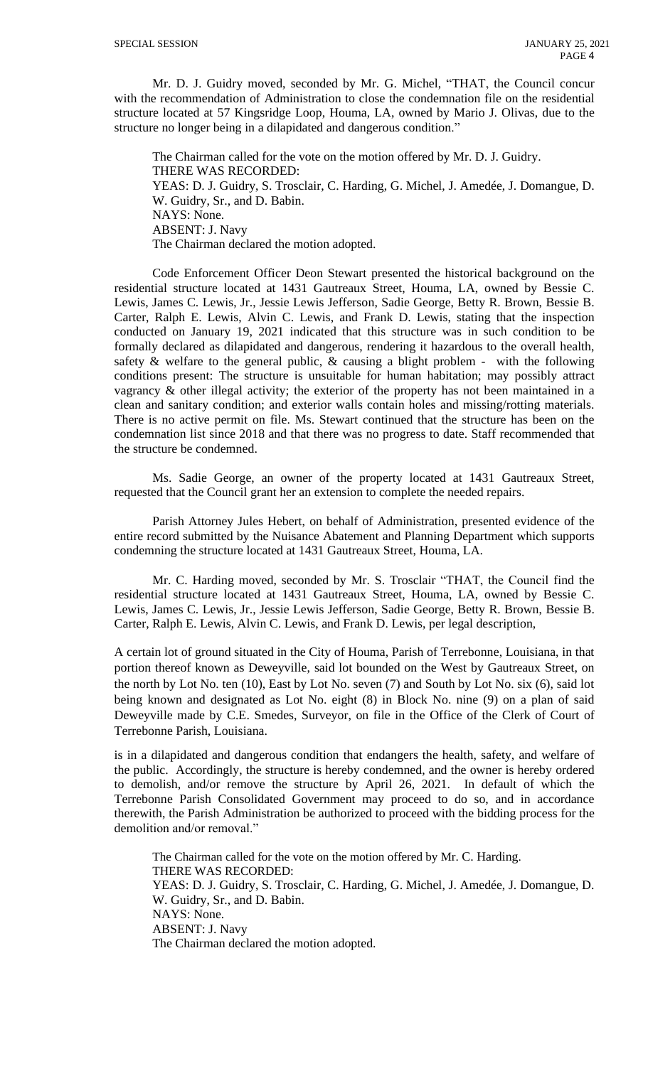Mr. D. J. Guidry moved, seconded by Mr. G. Michel, "THAT, the Council concur with the recommendation of Administration to close the condemnation file on the residential structure located at 57 Kingsridge Loop, Houma, LA, owned by Mario J. Olivas, due to the structure no longer being in a dilapidated and dangerous condition."

The Chairman called for the vote on the motion offered by Mr. D. J. Guidry. THERE WAS RECORDED: YEAS: D. J. Guidry, S. Trosclair, C. Harding, G. Michel, J. Amedée, J. Domangue, D. W. Guidry, Sr., and D. Babin. NAYS: None. ABSENT: J. Navy The Chairman declared the motion adopted.

Code Enforcement Officer Deon Stewart presented the historical background on the residential structure located at 1431 Gautreaux Street, Houma, LA, owned by Bessie C. Lewis, James C. Lewis, Jr., Jessie Lewis Jefferson, Sadie George, Betty R. Brown, Bessie B. Carter, Ralph E. Lewis, Alvin C. Lewis, and Frank D. Lewis, stating that the inspection conducted on January 19, 2021 indicated that this structure was in such condition to be formally declared as dilapidated and dangerous, rendering it hazardous to the overall health, safety  $\&$  welfare to the general public,  $\&$  causing a blight problem - with the following conditions present: The structure is unsuitable for human habitation; may possibly attract vagrancy & other illegal activity; the exterior of the property has not been maintained in a clean and sanitary condition; and exterior walls contain holes and missing/rotting materials. There is no active permit on file. Ms. Stewart continued that the structure has been on the condemnation list since 2018 and that there was no progress to date. Staff recommended that the structure be condemned.

Ms. Sadie George, an owner of the property located at 1431 Gautreaux Street, requested that the Council grant her an extension to complete the needed repairs.

Parish Attorney Jules Hebert, on behalf of Administration, presented evidence of the entire record submitted by the Nuisance Abatement and Planning Department which supports condemning the structure located at 1431 Gautreaux Street, Houma, LA.

Mr. C. Harding moved, seconded by Mr. S. Trosclair "THAT, the Council find the residential structure located at 1431 Gautreaux Street, Houma, LA, owned by Bessie C. Lewis, James C. Lewis, Jr., Jessie Lewis Jefferson, Sadie George, Betty R. Brown, Bessie B. Carter, Ralph E. Lewis, Alvin C. Lewis, and Frank D. Lewis, per legal description,

A certain lot of ground situated in the City of Houma, Parish of Terrebonne, Louisiana, in that portion thereof known as Deweyville, said lot bounded on the West by Gautreaux Street, on the north by Lot No. ten (10), East by Lot No. seven (7) and South by Lot No. six (6), said lot being known and designated as Lot No. eight (8) in Block No. nine (9) on a plan of said Deweyville made by C.E. Smedes, Surveyor, on file in the Office of the Clerk of Court of Terrebonne Parish, Louisiana.

is in a dilapidated and dangerous condition that endangers the health, safety, and welfare of the public. Accordingly, the structure is hereby condemned, and the owner is hereby ordered to demolish, and/or remove the structure by April 26, 2021. In default of which the Terrebonne Parish Consolidated Government may proceed to do so, and in accordance therewith, the Parish Administration be authorized to proceed with the bidding process for the demolition and/or removal."

The Chairman called for the vote on the motion offered by Mr. C. Harding. THERE WAS RECORDED: YEAS: D. J. Guidry, S. Trosclair, C. Harding, G. Michel, J. Amedée, J. Domangue, D. W. Guidry, Sr., and D. Babin. NAYS: None. ABSENT: J. Navy The Chairman declared the motion adopted.